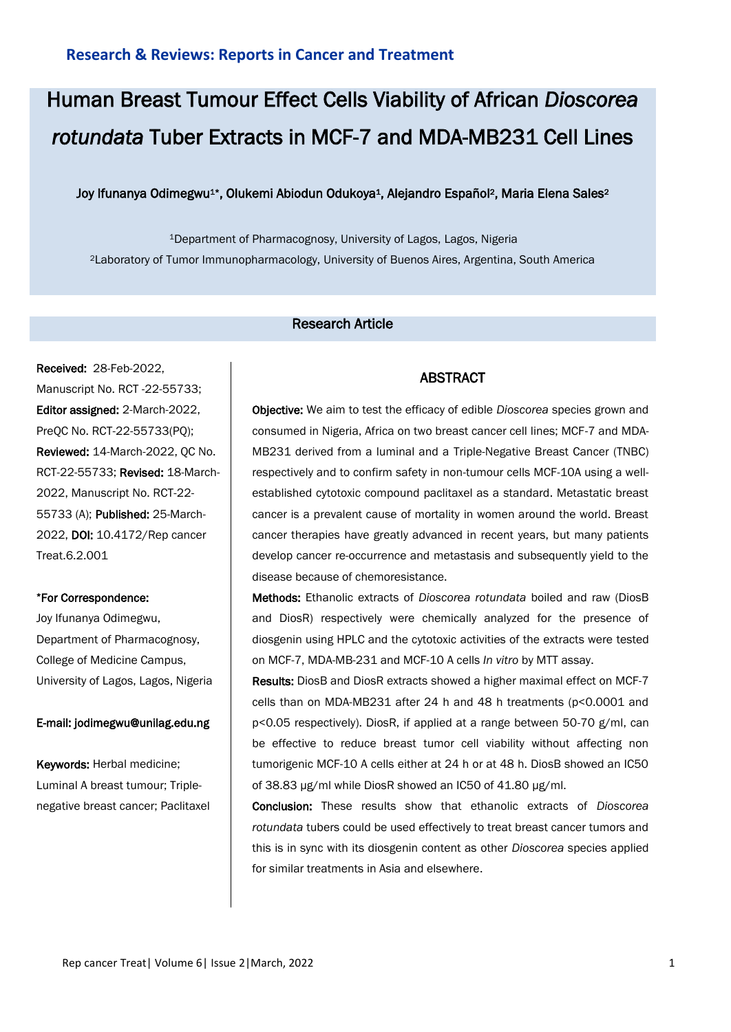# Human Breast Tumour Effect Cells Viability of African *Dioscorea rotundata* Tuber Extracts in MCF-7 and MDA-MB231 Cell Lines

## Joy Ifunanya Odimegwu<sup>1\*</sup>, Olukemi Abiodun Odukoya<sup>1</sup>, Alejandro Español<sup>2</sup>, Maria Elena Sales<sup>2</sup>

<sup>1</sup>Department of Pharmacognosy, University of Lagos, Lagos, Nigeria <sup>2</sup>Laboratory of Tumor Immunopharmacology, University of Buenos Aires, Argentina, South America

# Research Article

Received: 28-Feb-2022, Manuscript No. RCT -22-55733; Editor assigned: 2-March-2022, PreQC No. RCT-22-55733(PQ); Reviewed: 14-March-2022, QC No. RCT-22-55733; Revised: 18-March-2022, Manuscript No. RCT-22- 55733 (A); Published: 25-March-2022, DOI: 10.4172/Rep cancer Treat.6.2.001

#### \*For Correspondence:

Joy Ifunanya Odimegwu, Department of Pharmacognosy, College of Medicine Campus, University of Lagos, Lagos, Nigeria

#### E-mail: jodimegwu@unilag.edu.ng

Keywords: Herbal medicine; Luminal A breast tumour; Triplenegative breast cancer; Paclitaxel

## ABSTRACT

Objective: We aim to test the efficacy of edible *Dioscorea* species grown and consumed in Nigeria, Africa on two breast cancer cell lines; MCF-7 and MDA-MB231 derived from a luminal and a Triple-Negative Breast Cancer (TNBC) respectively and to confirm safety in non-tumour cells MCF-10A using a wellestablished cytotoxic compound paclitaxel as a standard. Metastatic breast cancer is a prevalent cause of mortality in women around the world. Breast cancer therapies have greatly advanced in recent years, but many patients develop cancer re-occurrence and metastasis and subsequently yield to the disease because of chemoresistance.

Methods: Ethanolic extracts of *Dioscorea rotundata* boiled and raw (DiosB and DiosR) respectively were chemically analyzed for the presence of diosgenin using HPLC and the cytotoxic activities of the extracts were tested on MCF-7, MDA-MB-231 and MCF-10 A cells *In vitro* by MTT assay.

Results: DiosB and DiosR extracts showed a higher maximal effect on MCF-7 cells than on MDA-MB231 after 24 h and 48 h treatments (p<0.0001 and p<0.05 respectively). DiosR, if applied at a range between 50-70 g/ml, can be effective to reduce breast tumor cell viability without affecting non tumorigenic MCF-10 A cells either at 24 h or at 48 h. DiosB showed an IC50 of 38.83 µg/ml while DiosR showed an IC50 of 41.80 µg/ml.

Conclusion: These results show that ethanolic extracts of *Dioscorea rotundata* tubers could be used effectively to treat breast cancer tumors and this is in sync with its diosgenin content as other *Dioscorea* species applied for similar treatments in Asia and elsewhere.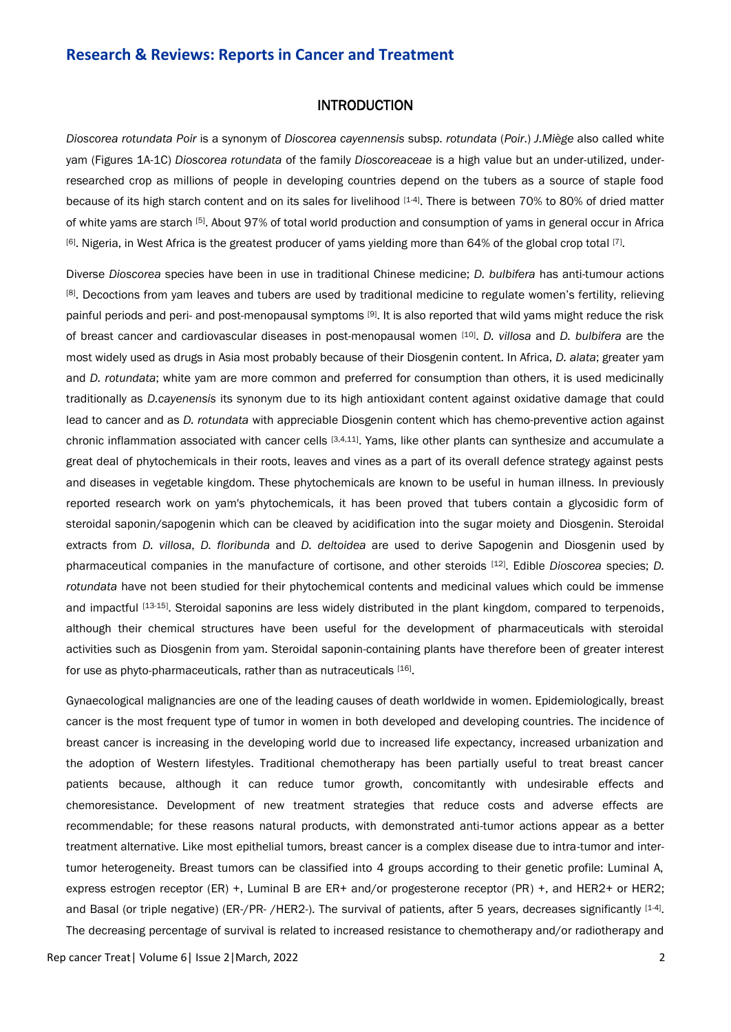## INTRODUCTION

*Dioscorea rotundata Poir* is a synonym of *Dioscorea cayennensis* subsp. *rotundata* (*Poir*.) *J.Miège* also called white yam (Figures 1A-1C) *Dioscorea rotundata* of the family *Dioscoreaceae* is a high value but an under-utilized, underresearched crop as millions of people in developing countries depend on the tubers as a source of staple food because of its high starch content and on its sales for livelihood [1-4]. There is between 70% to 80% of dried matter of white yams are starch [5]. About 97% of total world production and consumption of yams in general occur in Africa  $[6]$ . Nigeria, in West Africa is the greatest producer of yams yielding more than 64% of the global crop total  $[7]$ .

Diverse *Dioscorea* species have been in use in traditional Chinese medicine; *D. bulbifera* has anti-tumour actions [8]. Decoctions from yam leaves and tubers are used by traditional medicine to regulate women's fertility, relieving painful periods and peri- and post-menopausal symptoms [9]. It is also reported that wild yams might reduce the risk of breast cancer and cardiovascular diseases in post-menopausal women [10] . *D. villosa* and *D. bulbifera* are the most widely used as drugs in Asia most probably because of their Diosgenin content. In Africa, *D. alata*; greater yam and *D. rotundata*; white yam are more common and preferred for consumption than others, it is used medicinally traditionally as *D.cayenensis* its synonym due to its high antioxidant content against oxidative damage that could lead to cancer and as *D. rotundata* with appreciable Diosgenin content which has chemo-preventive action against chronic inflammation associated with cancer cells [3,4,11]. Yams, like other plants can synthesize and accumulate a great deal of phytochemicals in their roots, leaves and vines as a part of its overall defence strategy against pests and diseases in vegetable kingdom. These phytochemicals are known to be useful in human illness. In previously reported research work on yam's phytochemicals, it has been proved that tubers contain a glycosidic form of steroidal saponin/sapogenin which can be cleaved by acidification into the sugar moiety and Diosgenin. Steroidal extracts from *D. villosa*, *D. floribunda* and *D. deltoidea* are used to derive Sapogenin and Diosgenin used by pharmaceutical companies in the manufacture of cortisone, and other steroids [12] . Edible *Dioscorea* species; *D. rotundata* have not been studied for their phytochemical contents and medicinal values which could be immense and impactful [13-15]. Steroidal saponins are less widely distributed in the plant kingdom, compared to terpenoids, although their chemical structures have been useful for the development of pharmaceuticals with steroidal activities such as Diosgenin from yam. Steroidal saponin-containing plants have therefore been of greater interest for use as phyto-pharmaceuticals, rather than as nutraceuticals [16].

Gynaecological malignancies are one of the leading causes of death worldwide in women. Epidemiologically, breast cancer is the most frequent type of tumor in women in both developed and developing countries. The incidence of breast cancer is increasing in the developing world due to increased life expectancy, increased urbanization and the adoption of Western lifestyles. Traditional chemotherapy has been partially useful to treat breast cancer patients because, although it can reduce tumor growth, concomitantly with undesirable effects and chemoresistance. Development of new treatment strategies that reduce costs and adverse effects are recommendable; for these reasons natural products, with demonstrated anti-tumor actions appear as a better treatment alternative. Like most epithelial tumors, breast cancer is a complex disease due to intra-tumor and intertumor heterogeneity. Breast tumors can be classified into 4 groups according to their genetic profile: Luminal A, express estrogen receptor (ER) +, Luminal B are ER+ and/or progesterone receptor (PR) +, and HER2+ or HER2; and Basal (or triple negative) (ER-/PR-/HER2-). The survival of patients, after 5 years, decreases significantly [1-4]. The decreasing percentage of survival is related to increased resistance to chemotherapy and/or radiotherapy and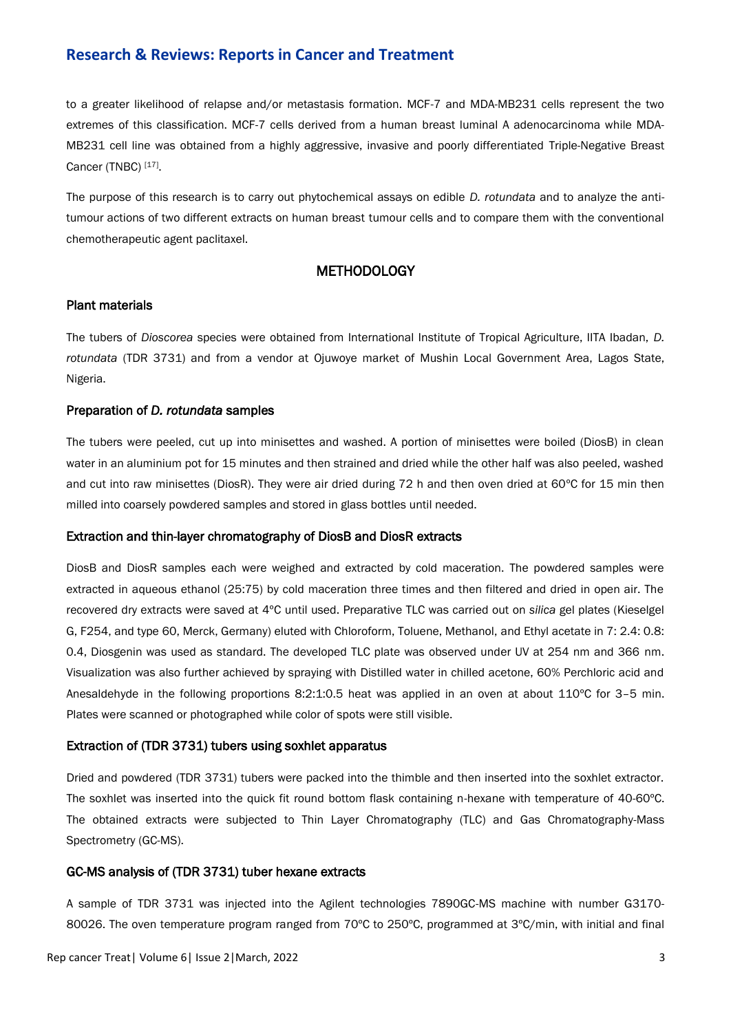to a greater likelihood of relapse and/or metastasis formation. MCF-7 and MDA-MB231 cells represent the two extremes of this classification. MCF-7 cells derived from a human breast luminal A adenocarcinoma while MDA-MB231 cell line was obtained from a highly aggressive, invasive and poorly differentiated Triple-Negative Breast Cancer (TNBC) [17].

The purpose of this research is to carry out phytochemical assays on edible *D. rotundata* and to analyze the antitumour actions of two different extracts on human breast tumour cells and to compare them with the conventional chemotherapeutic agent paclitaxel.

# **METHODOLOGY**

#### Plant materials

The tubers of *Dioscorea* species were obtained from International Institute of Tropical Agriculture, IITA Ibadan, *D. rotundata* (TDR 3731) and from a vendor at Ojuwoye market of Mushin Local Government Area, Lagos State, Nigeria.

#### Preparation of *D. rotundata* samples

The tubers were peeled, cut up into minisettes and washed. A portion of minisettes were boiled (DiosB) in clean water in an aluminium pot for 15 minutes and then strained and dried while the other half was also peeled, washed and cut into raw minisettes (DiosR). They were air dried during 72 h and then oven dried at 60ºC for 15 min then milled into coarsely powdered samples and stored in glass bottles until needed.

#### Extraction and thin-layer chromatography of DiosB and DiosR extracts

DiosB and DiosR samples each were weighed and extracted by cold maceration. The powdered samples were extracted in aqueous ethanol (25:75) by cold maceration three times and then filtered and dried in open air. The recovered dry extracts were saved at 4ºC until used. Preparative TLC was carried out on *silica* gel plates (Kieselgel G, F254, and type 60, Merck, Germany) eluted with Chloroform, Toluene, Methanol, and Ethyl acetate in 7: 2.4: 0.8: 0.4, Diosgenin was used as standard. The developed TLC plate was observed under UV at 254 nm and 366 nm. Visualization was also further achieved by spraying with Distilled water in chilled acetone, 60% Perchloric acid and Anesaldehyde in the following proportions 8:2:1:0.5 heat was applied in an oven at about 110ºC for 3–5 min. Plates were scanned or photographed while color of spots were still visible.

#### Extraction of (TDR 3731) tubers using soxhlet apparatus

Dried and powdered (TDR 3731) tubers were packed into the thimble and then inserted into the soxhlet extractor. The soxhlet was inserted into the quick fit round bottom flask containing n-hexane with temperature of 40-60ºC. The obtained extracts were subjected to Thin Layer Chromatography (TLC) and Gas Chromatography-Mass Spectrometry (GC-MS).

#### GC-MS analysis of (TDR 3731) tuber hexane extracts

A sample of TDR 3731 was injected into the Agilent technologies 7890GC-MS machine with number G3170- 80026. The oven temperature program ranged from 70°C to 250°C, programmed at 3°C/min, with initial and final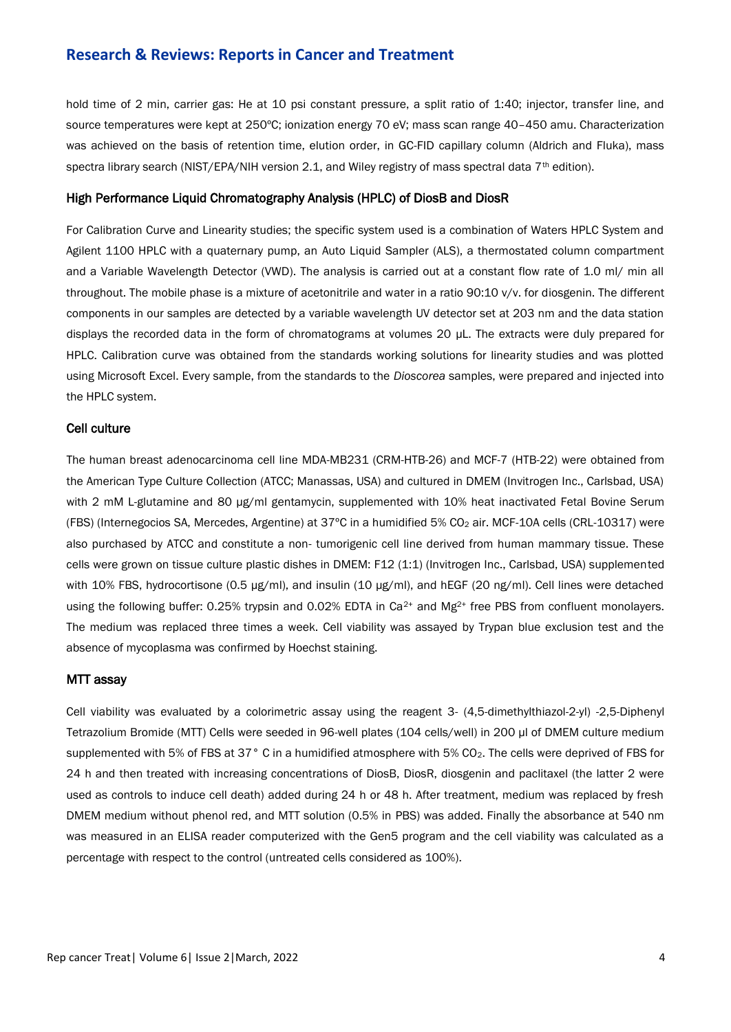hold time of 2 min, carrier gas: He at 10 psi constant pressure, a split ratio of 1:40; injector, transfer line, and source temperatures were kept at 250ºC; ionization energy 70 eV; mass scan range 40–450 amu. Characterization was achieved on the basis of retention time, elution order, in GC-FID capillary column (Aldrich and Fluka), mass spectra library search (NIST/EPA/NIH version 2.1, and Wiley registry of mass spectral data 7<sup>th</sup> edition).

#### High Performance Liquid Chromatography Analysis (HPLC) of DiosB and DiosR

For Calibration Curve and Linearity studies; the specific system used is a combination of Waters HPLC System and Agilent 1100 HPLC with a quaternary pump, an Auto Liquid Sampler (ALS), a thermostated column compartment and a Variable Wavelength Detector (VWD). The analysis is carried out at a constant flow rate of 1.0 ml/ min all throughout. The mobile phase is a mixture of acetonitrile and water in a ratio 90:10 v/v. for diosgenin. The different components in our samples are detected by a variable wavelength UV detector set at 203 nm and the data station displays the recorded data in the form of chromatograms at volumes 20 µL. The extracts were duly prepared for HPLC. Calibration curve was obtained from the standards working solutions for linearity studies and was plotted using Microsoft Excel. Every sample, from the standards to the *Dioscorea* samples, were prepared and injected into the HPLC system.

#### Cell culture

The human breast adenocarcinoma cell line MDA-MB231 (CRM-HTB-26) and MCF-7 (HTB-22) were obtained from the American Type Culture Collection (ATCC; Manassas, USA) and cultured in DMEM (Invitrogen Inc., Carlsbad, USA) with 2 mM L-glutamine and 80 μg/ml gentamycin, supplemented with 10% heat inactivated Fetal Bovine Serum (FBS) (Internegocios SA, Mercedes, Argentine) at 37°C in a humidified 5% CO<sub>2</sub> air. MCF-10A cells (CRL-10317) were also purchased by ATCC and constitute a non- tumorigenic cell line derived from human mammary tissue. These cells were grown on tissue culture plastic dishes in DMEM: F12 (1:1) (Invitrogen Inc., Carlsbad, USA) supplemented with 10% FBS, hydrocortisone (0.5 μg/ml), and insulin (10 μg/ml), and hEGF (20 ng/ml). Cell lines were detached using the following buffer: 0.25% trypsin and 0.02% EDTA in Ca<sup>2+</sup> and Mg<sup>2+</sup> free PBS from confluent monolayers. The medium was replaced three times a week. Cell viability was assayed by Trypan blue exclusion test and the absence of mycoplasma was confirmed by Hoechst staining.

#### MTT assay

Cell viability was evaluated by a colorimetric assay using the reagent 3- (4,5-dimethylthiazol-2-yl) -2,5-Diphenyl Tetrazolium Bromide (MTT) Cells were seeded in 96-well plates (104 cells/well) in 200 μl of DMEM culture medium supplemented with 5% of FBS at 37° C in a humidified atmosphere with 5% CO<sub>2</sub>. The cells were deprived of FBS for 24 h and then treated with increasing concentrations of DiosB, DiosR, diosgenin and paclitaxel (the latter 2 were used as controls to induce cell death) added during 24 h or 48 h. After treatment, medium was replaced by fresh DMEM medium without phenol red, and MTT solution (0.5% in PBS) was added. Finally the absorbance at 540 nm was measured in an ELISA reader computerized with the Gen5 program and the cell viability was calculated as a percentage with respect to the control (untreated cells considered as 100%).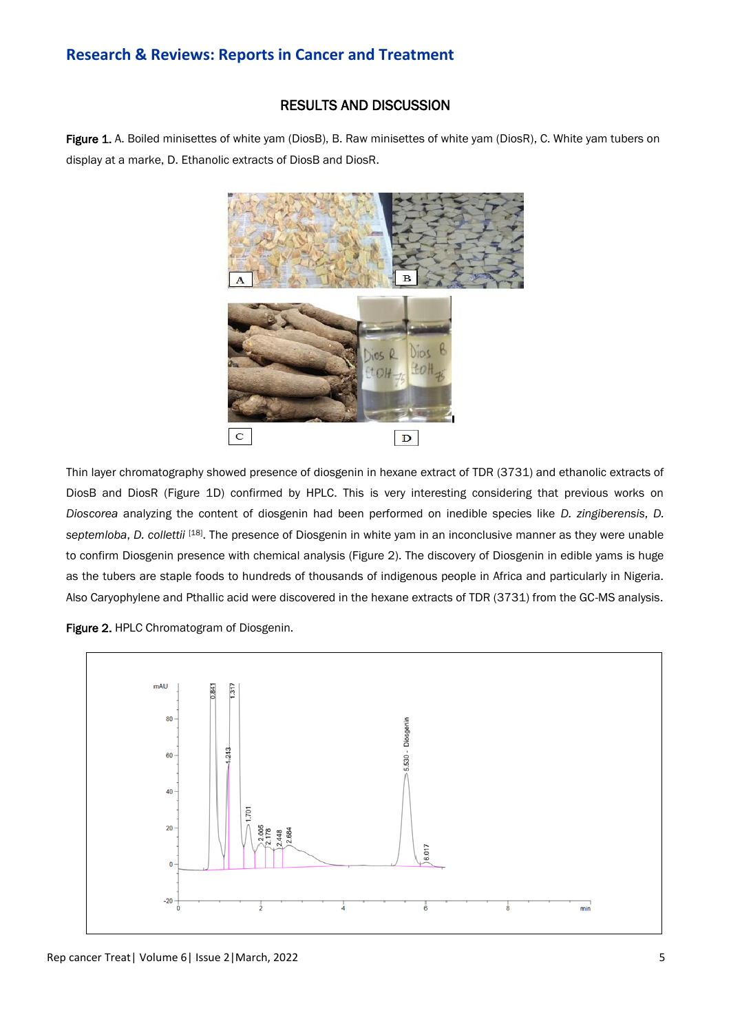# RESULTS AND DISCUSSION

Figure 1. A. Boiled minisettes of white yam (DiosB), B. Raw minisettes of white yam (DiosR), C. White yam tubers on display at a marke, D. Ethanolic extracts of DiosB and DiosR.



Thin layer chromatography showed presence of diosgenin in hexane extract of TDR (3731) and ethanolic extracts of DiosB and DiosR (Figure 1D) confirmed by HPLC. This is very interesting considering that previous works on *Dioscorea* analyzing the content of diosgenin had been performed on inedible species like *D. zingiberensis*, *D. septemloba*, *D. collettii* [18] . The presence of Diosgenin in white yam in an inconclusive manner as they were unable to confirm Diosgenin presence with chemical analysis (Figure 2). The discovery of Diosgenin in edible yams is huge as the tubers are staple foods to hundreds of thousands of indigenous people in Africa and particularly in Nigeria. Also Caryophylene and Pthallic acid were discovered in the hexane extracts of TDR (3731) from the GC-MS analysis.

Figure 2. HPLC Chromatogram of Diosgenin.

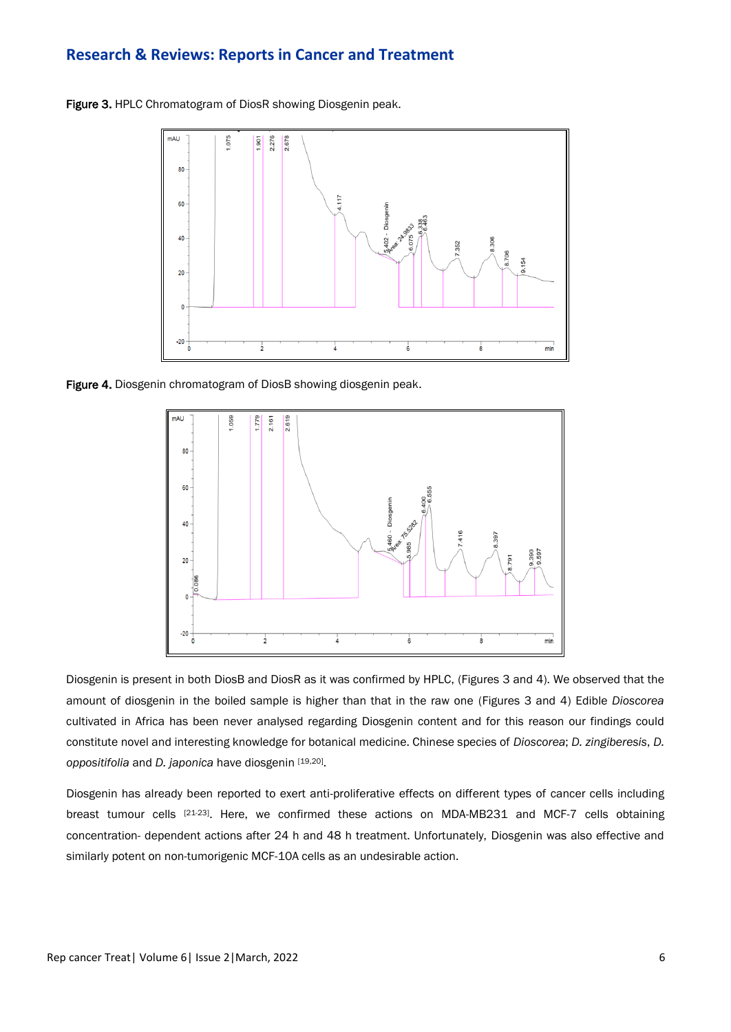Figure 3. HPLC Chromatogram of DiosR showing Diosgenin peak.



Figure 4. Diosgenin chromatogram of DiosB showing diosgenin peak.



Diosgenin is present in both DiosB and DiosR as it was confirmed by HPLC, (Figures 3 and 4). We observed that the amount of diosgenin in the boiled sample is higher than that in the raw one (Figures 3 and 4) Edible *Dioscorea* cultivated in Africa has been never analysed regarding Diosgenin content and for this reason our findings could constitute novel and interesting knowledge for botanical medicine. Chinese species of *Dioscorea*; *D. zingiberesis*, *D.*  oppositifolia and *D. japonica* have diosgenin [19,20].

Diosgenin has already been reported to exert anti-proliferative effects on different types of cancer cells including breast tumour cells <sup>[21-23]</sup>. Here, we confirmed these actions on MDA-MB231 and MCF-7 cells obtaining concentration- dependent actions after 24 h and 48 h treatment. Unfortunately, Diosgenin was also effective and similarly potent on non-tumorigenic MCF-10A cells as an undesirable action.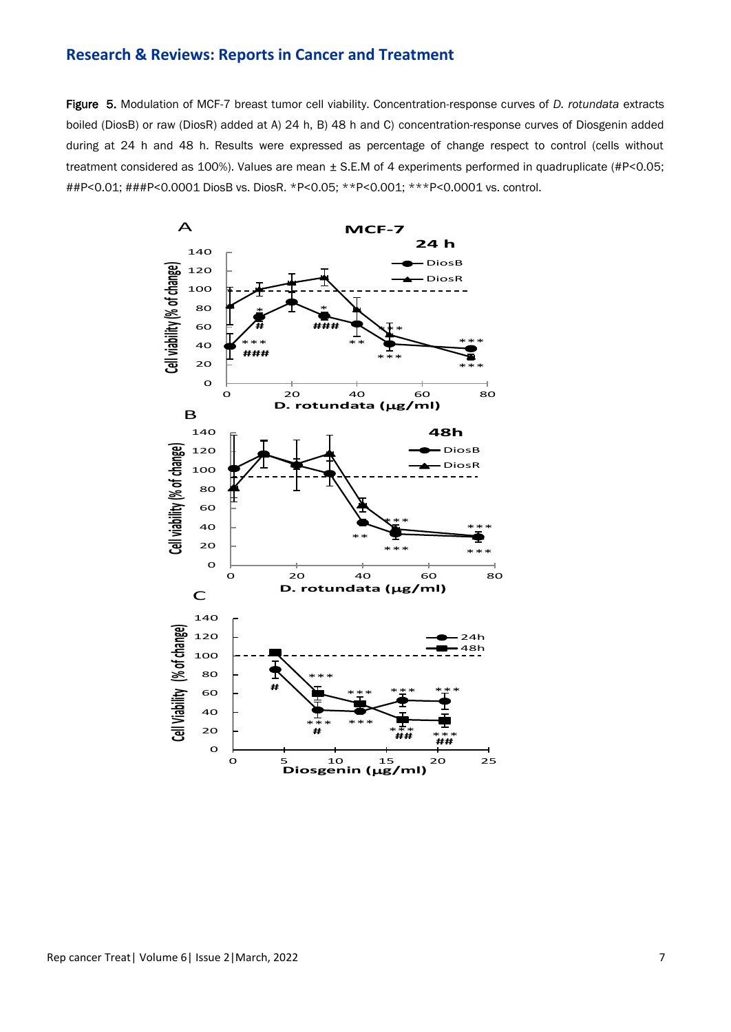Figure 5. Modulation of MCF-7 breast tumor cell viability. Concentration-response curves of *D. rotundata* extracts boiled (DiosB) or raw (DiosR) added at A) 24 h, B) 48 h and C) concentration-response curves of Diosgenin added during at 24 h and 48 h. Results were expressed as percentage of change respect to control (cells without treatment considered as 100%). Values are mean ± S.E.M of 4 experiments performed in quadruplicate (#P<0.05; ##P<0.01; ###P<0.0001 DiosB vs. DiosR. \*P<0.05; \*\*P<0.001; \*\*\*P<0.0001 vs. control.

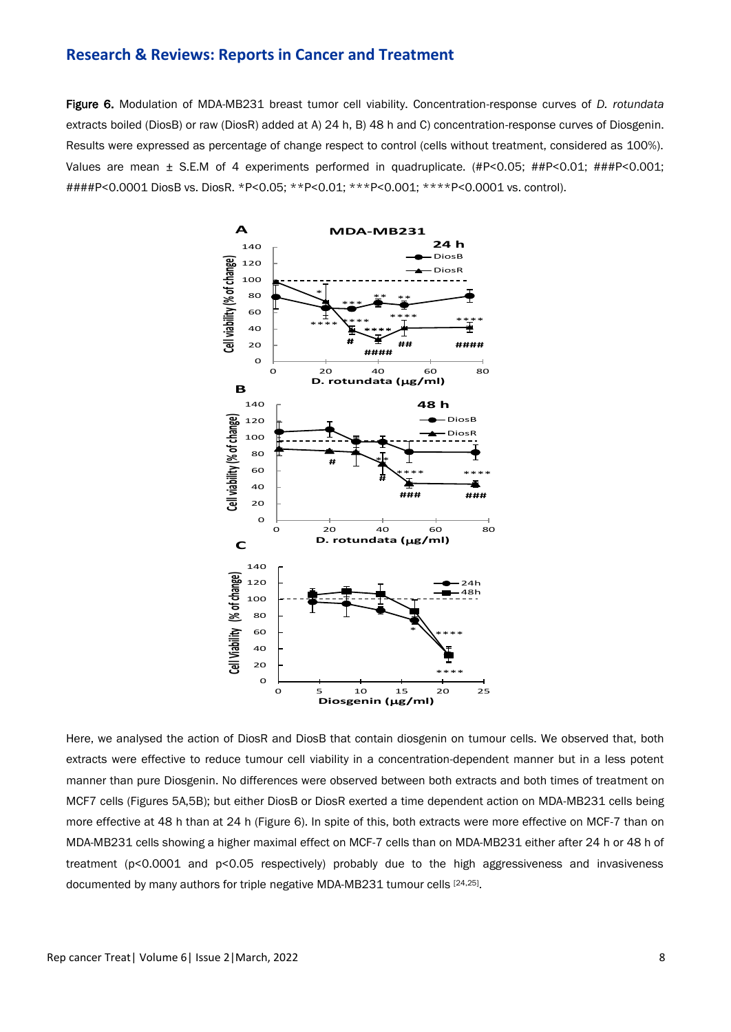Figure 6. Modulation of MDA-MB231 breast tumor cell viability. Concentration-response curves of *D. rotundata* extracts boiled (DiosB) or raw (DiosR) added at A) 24 h, B) 48 h and C) concentration-response curves of Diosgenin. Results were expressed as percentage of change respect to control (cells without treatment, considered as 100%). Values are mean ± S.E.M of 4 experiments performed in quadruplicate. (#P<0.05; ##P<0.01; ###P<0.001; ####P<0.0001 DiosB vs. DiosR. \*P<0.05; \*\*P<0.01; \*\*\*P<0.001; \*\*\*\*P<0.0001 vs. control).



Here, we analysed the action of DiosR and DiosB that contain diosgenin on tumour cells. We observed that, both extracts were effective to reduce tumour cell viability in a concentration-dependent manner but in a less potent manner than pure Diosgenin. No differences were observed between both extracts and both times of treatment on MCF7 cells (Figures 5A,5B); but either DiosB or DiosR exerted a time dependent action on MDA-MB231 cells being more effective at 48 h than at 24 h (Figure 6). In spite of this, both extracts were more effective on MCF-7 than on MDA-MB231 cells showing a higher maximal effect on MCF-7 cells than on MDA-MB231 either after 24 h or 48 h of treatment (p<0.0001 and p<0.05 respectively) probably due to the high aggressiveness and invasiveness documented by many authors for triple negative MDA-MB231 tumour cells [24,25].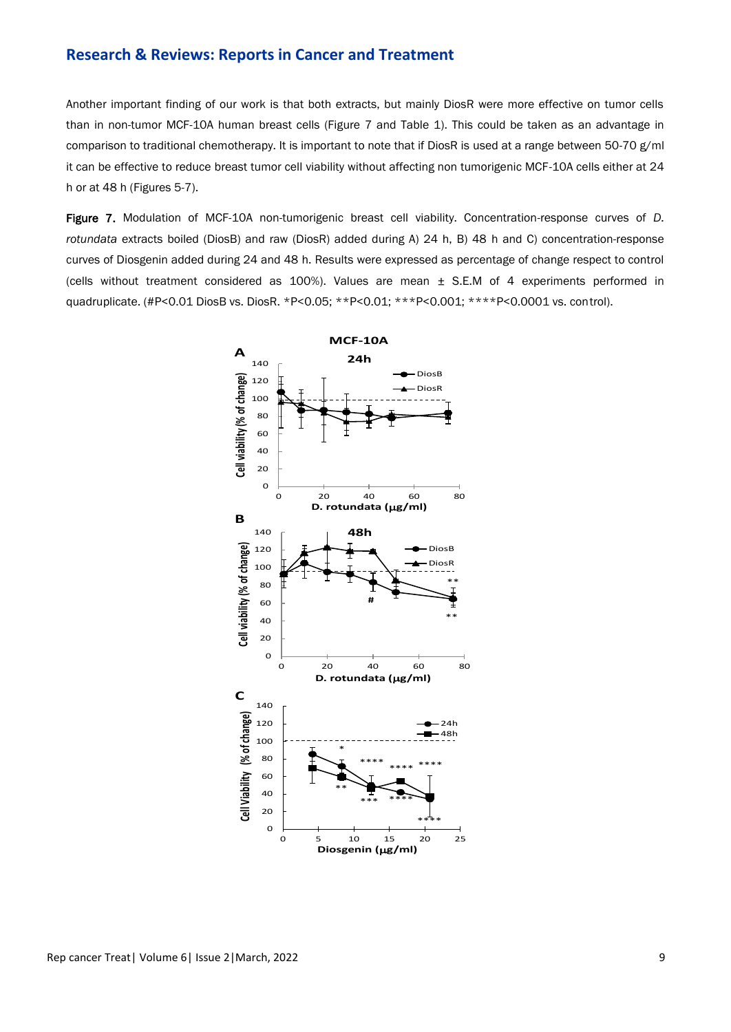Another important finding of our work is that both extracts, but mainly DiosR were more effective on tumor cells than in non-tumor MCF-10A human breast cells (Figure 7 and Table 1). This could be taken as an advantage in comparison to traditional chemotherapy. It is important to note that if DiosR is used at a range between 50-70 g/ml it can be effective to reduce breast tumor cell viability without affecting non tumorigenic MCF-10A cells either at 24 h or at 48 h (Figures 5-7).

Figure 7. Modulation of MCF-10A non-tumorigenic breast cell viability. Concentration-response curves of *D. rotundata* extracts boiled (DiosB) and raw (DiosR) added during A) 24 h, B) 48 h and C) concentration-response curves of Diosgenin added during 24 and 48 h. Results were expressed as percentage of change respect to control (cells without treatment considered as  $100\%$ ). Values are mean  $\pm$  S.E.M of 4 experiments performed in quadruplicate. (#P<0.01 DiosB vs. DiosR. \*P<0.05; \*\*P<0.01; \*\*\*P<0.001; \*\*\*\*P<0.0001 vs. control).

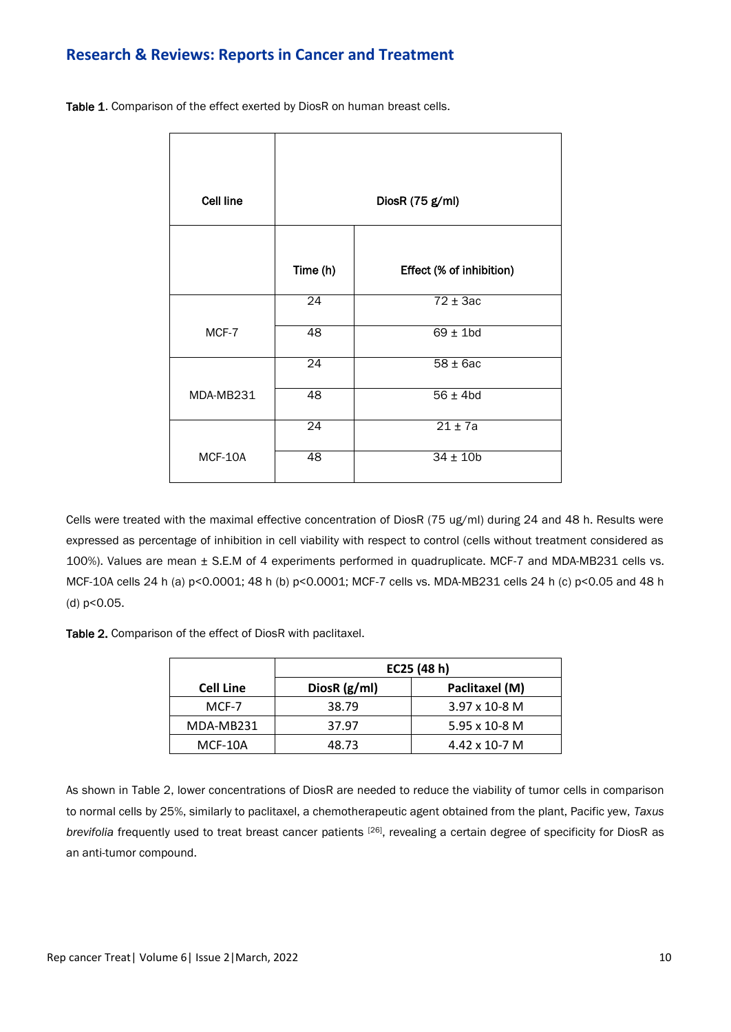Table 1. Comparison of the effect exerted by DiosR on human breast cells.

| <b>Cell line</b> | DiosR (75 g/ml) |                          |  |
|------------------|-----------------|--------------------------|--|
|                  |                 |                          |  |
|                  | Time (h)        | Effect (% of inhibition) |  |
|                  | 24              | $72 \pm 3ac$             |  |
| MCF-7            | $\overline{48}$ | $69 \pm 1$ bd            |  |
|                  | $\overline{24}$ | $58 \pm 6ac$             |  |
| MDA-MB231        | 48              | $56 \pm 4$ bd            |  |
|                  | $\overline{24}$ | $21 \pm 7a$              |  |
| MCF-10A          | $\overline{48}$ | $34 \pm 10b$             |  |

Cells were treated with the maximal effective concentration of DiosR (75 ug/ml) during 24 and 48 h. Results were expressed as percentage of inhibition in cell viability with respect to control (cells without treatment considered as 100%). Values are mean ± S.E.M of 4 experiments performed in quadruplicate. MCF-7 and MDA-MB231 cells vs. MCF-10A cells 24 h (a) p<0.0001; 48 h (b) p<0.0001; MCF-7 cells vs. MDA-MB231 cells 24 h (c) p<0.05 and 48 h (d) p<0.05.

Table 2. Comparison of the effect of DiosR with paclitaxel.

|                  | EC25 (48 h)  |                        |  |
|------------------|--------------|------------------------|--|
| <b>Cell Line</b> | DiosR (g/ml) | Paclitaxel (M)         |  |
| MCF-7            | 38.79        | $3.97 \times 10 - 8$ M |  |
| MDA-MB231        | 37.97        | 5.95 x 10-8 M          |  |
| MCF-10A          | 48.73        | $4.42 \times 10 - 7$ M |  |

As shown in Table 2, lower concentrations of DiosR are needed to reduce the viability of tumor cells in comparison to normal cells by 25%, similarly to paclitaxel, a chemotherapeutic agent obtained from the plant, Pacific yew, *Taxus brevifolia* frequently used to treat breast cancer patients [26] , revealing a certain degree of specificity for DiosR as an anti-tumor compound.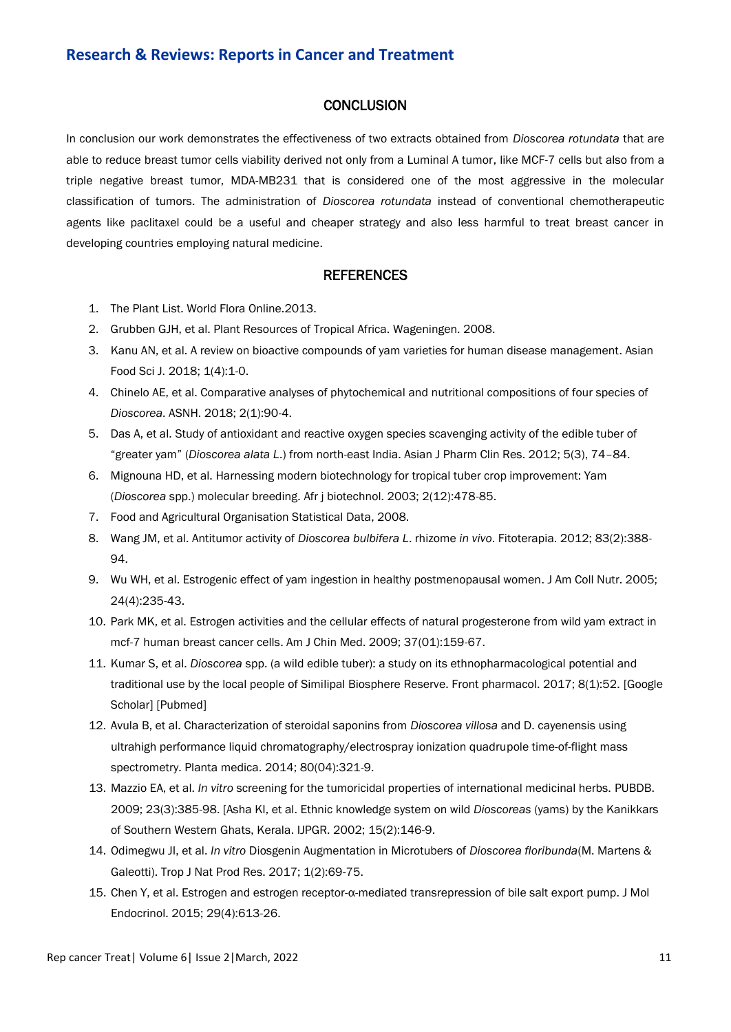# **CONCLUSION**

In conclusion our work demonstrates the effectiveness of two extracts obtained from *Dioscorea rotundata* that are able to reduce breast tumor cells viability derived not only from a Luminal A tumor, like MCF-7 cells but also from a triple negative breast tumor, MDA-MB231 that is considered one of the most aggressive in the molecular classification of tumors. The administration of *Dioscorea rotundata* instead of conventional chemotherapeutic agents like paclitaxel could be a useful and cheaper strategy and also less harmful to treat breast cancer in developing countries employing natural medicine.

# **REFERENCES**

- 1. The Plant List. World Flora Online.2013.
- 2. Grubben GJH, et al. Plant Resources of Tropical Africa. Wageningen. 2008.
- 3. Kanu AN, et al. A review on bioactive compounds of yam varieties for human disease management. Asian Food Sci J. 2018; 1(4):1-0.
- 4. Chinelo AE, et al. [Comparative analyses of phytochemical and nutritional compositions of four species of](https://actascientific.com/ASNH/pdf/ASNH-02-0106.pdf)  *[Dioscorea](https://actascientific.com/ASNH/pdf/ASNH-02-0106.pdf)*. ASNH. 2018; 2(1):90-4.
- 5. Das A, et al[. Study of antioxidant and reactive oxygen species scavenging activity of the edible tuber of](https://www.semanticscholar.org/paper/STUDY-OF-ANTIOXIDANT-AND-REACTIVE-OXYGEN-SPECIES-OF-Das-Chaudhuri/0485fddb79f6d40d7672b2a3b45a8e45b9557079)  "greater yam" (*Dioscorea alata L*[.\) from north-east India.](https://www.semanticscholar.org/paper/STUDY-OF-ANTIOXIDANT-AND-REACTIVE-OXYGEN-SPECIES-OF-Das-Chaudhuri/0485fddb79f6d40d7672b2a3b45a8e45b9557079) Asian J Pharm Clin Res. 2012; 5(3), 74–84.
- 6. Mignouna HD, et al. [Harnessing modern biotechnology for tropical tuber crop improvement: Yam](https://www.ajol.info/index.php/ajb/article/view/14876)  (*Dioscorea* [spp.\) molecular breeding.](https://www.ajol.info/index.php/ajb/article/view/14876) Afr j biotechnol. 2003; 2(12):478-85.
- 7. Food and Agricultural Organisation Statistical Data, 2008.
- 8. Wang JM, et [al. Antitumor activity of](https://www.sciencedirect.com/science/article/abs/pii/S0367326X11003157) *Dioscorea bulbifera L*. rhizome *in vivo*. Fitoterapia. 2012; 83(2):388- 94.
- 9. Wu WH, et al. [Estrogenic effect of yam ingestion in healthy postmenopausal women.](https://www.tandfonline.com/doi/abs/10.1080/07315724.2005.10719470) J Am Coll Nutr. 2005; 24(4):235-43.
- 10. Park MK, et al[. Estrogen activities and the cellular effects of natural progesterone from wild yam extract in](https://www.worldscientific.com/doi/abs/10.1142/S0192415X09006746)  [mcf-7 human breast cancer cells.](https://www.worldscientific.com/doi/abs/10.1142/S0192415X09006746) Am J Chin Med. 2009; 37(01):159-67.
- 11. Kumar S, et al. *Dioscorea* [spp. \(a wild edible tuber\): a study on its ethnopharmacological potential and](https://www.frontiersin.org/articles/10.3389/fphar.2017.00052/full)  [traditional use by the local people of Similipal Biosphere Reserve.](https://www.frontiersin.org/articles/10.3389/fphar.2017.00052/full) Front pharmacol. 2017; 8(1):52. [\[Google](https://scholar.google.com/scholar?cluster=10697181467036405453&hl=en&as_sdt=0,5)  [Scholar\]](https://scholar.google.com/scholar?cluster=10697181467036405453&hl=en&as_sdt=0,5) [\[Pubmed\]](https://pubmed.ncbi.nlm.nih.gov/28261094/)
- 12. Avula B, et al. [Characterization of steroidal saponins from](https://www.thieme-connect.com/products/ejournals/abstract/10.1055/s-0033-1360330) *Dioscorea villosa* and D. cayenensis using [ultrahigh performance liquid chromatography/electrospray ionization quadrupole time-of-flight mass](https://www.thieme-connect.com/products/ejournals/abstract/10.1055/s-0033-1360330)  [spectrometry.](https://www.thieme-connect.com/products/ejournals/abstract/10.1055/s-0033-1360330) Planta medica. 2014; 80(04):321-9.
- 13. Mazzio EA, et al. *In vitro* [screening for the tumoricidal properties of international medicinal herbs.](https://onlinelibrary.wiley.com/doi/abs/10.1002/ptr.2636) PUBDB. 2009; 23(3):385-98. [Asha KI, et al[. Ethnic knowledge system on wild](https://www.indianjournals.com/ijor.aspx?target=ijor:ijpgr&volume=15&issue=2&article=014) *Dioscoreas* (yams) by the Kanikkars [of Southern Western Ghats, Kerala.](https://www.indianjournals.com/ijor.aspx?target=ijor:ijpgr&volume=15&issue=2&article=014) IJPGR. 2002; 15(2):146-9.
- 14. Odimegwu JI, et al. *In vitro* [Diosgenin Augmentation in Microtubers of](https://www.semanticscholar.org/paper/In-vitro-Diosgenin-Augmentation-in-Microtubers-of-%26-Odimegwu-Yadav/380a775c6513cdfe6c60f9dd503715d0fc7ab344) *Dioscorea floribunda*(M. Martens & [Galeotti\).](https://www.semanticscholar.org/paper/In-vitro-Diosgenin-Augmentation-in-Microtubers-of-%26-Odimegwu-Yadav/380a775c6513cdfe6c60f9dd503715d0fc7ab344) Trop J Nat Prod Res. 2017; 1(2):69-75.
- 15. Chen Y, et al. [Estrogen and estrogen receptor-](https://academic.oup.com/mend/article/29/4/613/2556221?login=true)α-mediated transrepression of bile salt export pump. J Mol Endocrinol. 2015; 29(4):613-26.